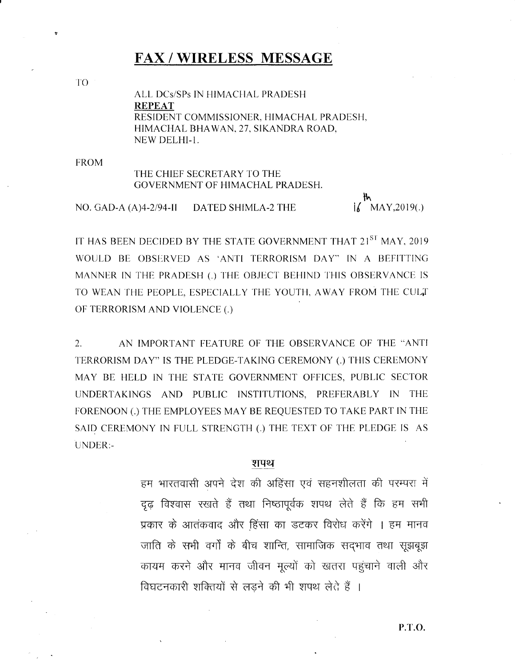### **FAX / WIRELESS MESSAGE**

TO

ALL DCs/SPs IN HIMACHAL PRADESH **REPEAT** RESIDENT COMMISSIONER, HIMACHAL PRADESH, HIMACHAL BHAWAN, 27, SIKANDRA ROAD, NEW DELHI-1.

**FROM** 

### THE CHIEF SECRETARY TO THE GOVERNMENT OF HIMACHAL PRADESH.

NO. GAD-A $(A)4-2/94-II$ **DATED SHIMLA-2 THE** 

 $\mathsf{i}\mathsf{k}$  MAY, 2019(.)

IT HAS BEEN DECIDED BY THE STATE GOVERNMENT THAT 21<sup>ST</sup> MAY, 2019 WOULD BE OBSERVED AS 'ANTI TERRORISM DAY" IN A BEFITTING MANNER IN THE PRADESH (.) THE OBJECT BEHIND THIS OBSERVANCE IS TO WEAN THE PEOPLE, ESPECIALLY THE YOUTH, AWAY FROM THE CULT OF TERRORISM AND VIOLENCE (.)

 $2.$ AN IMPORTANT FEATURE OF THE OBSERVANCE OF THE "ANTI TERRORISM DAY" IS THE PLEDGE-TAKING CEREMONY (.) THIS CEREMONY MAY BE HELD IN THE STATE GOVERNMENT OFFICES, PUBLIC SECTOR UNDERTAKINGS AND PUBLIC INSTITUTIONS, PREFERABLY IN THE FORENOON (.) THE EMPLOYEES MAY BE REQUESTED TO TAKE PART IN THE SAID CEREMONY IN FULL STRENGTH (.) THE TEXT OF THE PLEDGE IS AS UNDER:-

#### शपथ

हम भारतवासी अपने देश की अहिंसा एवं सहनशीलता की परम्परा में दृढ़ विश्वास रखते हैं तथा निष्ठापूर्वक शपथ लेते हैं कि हम सभी प्रकार के आतंकवाद और हिंसा का डटकर विरोध करेंगे । हम मानव जाति के सभी वर्गों के बीच शान्ति, सामाजिक सदभाव तथा सूझबूझ कायम करने और मानव जीवन मूल्यों को खतरा पहुंचाने वाली और विघटनकारी शक्तियों से लड़ने की भी शपथ लेते हैं ।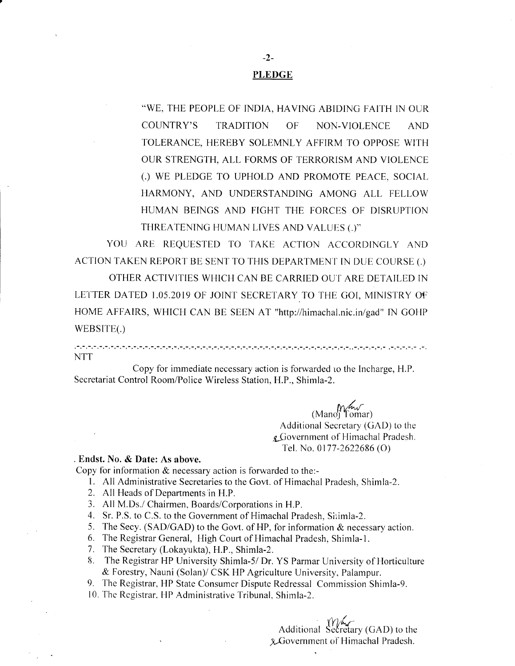#### **PLEDGE**

"WE, THE PEOPLE OF INDIA, HAVING ABIDING FAITH IN OUR **OF** COUNTRY'S **TRADITION** NON-VIOLENCE **AND** TOLERANCE, HEREBY SOLEMNLY AFFIRM TO OPPOSE WITH OUR STRENGTH, ALL FORMS OF TERRORISM AND VIOLENCE (.) WE PLEDGE TO UPHOLD AND PROMOTE PEACE, SOCIAL HARMONY, AND UNDERSTANDING AMONG ALL FELLOW HUMAN BEINGS AND FIGHT THE FORCES OF DISRUPTION THREATENING HUMAN LIVES AND VALUES (.)"

YOU ARE REQUESTED TO TAKE ACTION ACCORDINGLY AND ACTION TAKEN REPORT BE SENT TO THIS DEPARTMENT IN DUE COURSE (.)

OTHER ACTIVITIES WHICH CAN BE CARRIED OUT ARE DETAILED IN LETTER DATED 1.05.2019 OF JOINT SECRETARY TO THE GOI, MINISTRY OF HOME AFFAIRS, WHICH CAN BE SEEN AT "http://himachal.nic.in/gad" IN GOHP WEBSITE(.)

وموامر مرموس الموسوس والمستقيم والمسامي والمستقيم والمستقيم والمستقيم والمستقيم والمستقيم والمستقيم والمستقيم والمستقيم والمستقيم **NTT** 

Copy for immediate necessary action is forwarded to the Incharge, H.P. Secretariat Control Room/Police Wireless Station, H.P., Shimla-2.

 $(Mano)$  Tomar)

Additional Secretary (GAD) to the g Government of Himachal Pradesh. Tel. No. 0177-2622686 (O)

#### . Endst. No. & Date: As above.

Copy for information  $&$  necessary action is forwarded to the:-

- 1. All Administrative Secretaries to the Govt. of Himachal Pradesh, Shimla-2.
- 2. All Heads of Departments in H.P.
- 3. All M.Ds./ Chairmen, Boards/Corporations in H.P.
- 4. Sr. P.S. to C.S. to the Government of Himachal Pradesh, Shimla-2.
- 5. The Secy. (SAD/GAD) to the Govt. of HP, for information & necessary action.
- 6. The Registrar General, High Court of Himachal Pradesh, Shimla-1.
- 7. The Secretary (Lokayukta), H.P., Shimla-2.
- 8. The Registrar HP University Shimla-5/ Dr. YS Parmar University of Horticulture & Forestry, Nauni (Solan)/ CSK HP Agriculture University, Palampur.
- 9. The Registrar, HP State Consumer Dispute Redressal Commission Shimla-9.
- 10. The Registrar, HP Administrative Tribunal, Shimla-2.

Additional Secretary (GAD) to the &Government of Himachal Pradesh.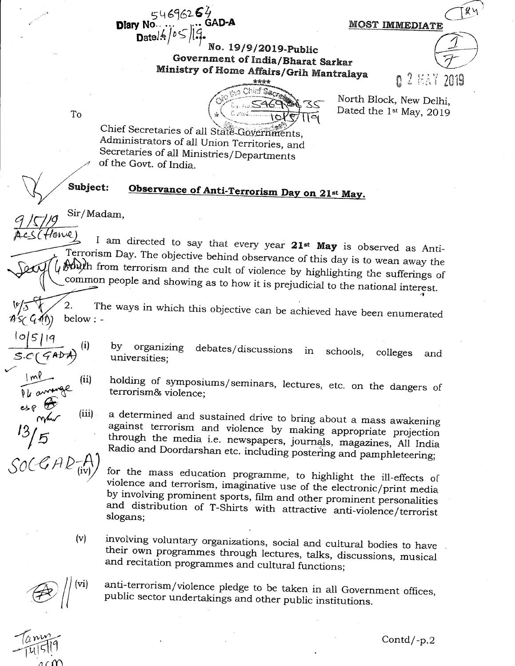546962**6**4 **Diary No** Date  $/6$  /  $0$   $\leq$ 

MOST IMMEDIATE

 $\n *g* \n *h*\n$ 

o. 19/9/2019-Public Government of India/Bharat Sarkar Ministry of Home Affairs/Grih Mantralaya

North Block, New Delhi, Dated the 1st May, 2019

 $\mathcal{I}$ 

To

Chief Secretaries of all State Governments, Administrators of all Union Territories, and Secretaries of all Ministries/Departments of the Govt. of India.

#### Subject: Observance of Anti-Terrorism Day on 21st May.

Sir/Madam,

 $(iii)$ 

I am directed to say that every year 21<sup>st</sup> May is observed as Anti-Terrorism Day. The objective behind observance of this day is to wean away the Muth from terrorism and the cult of violence by highlighting the sufferings of common people and showing as to how it is prejudicial to the national interest.

The ways in which this objective can be achieved have been enumerated 2. below: -

 $(4\%)$ 

organizing  $by$ debates/discussions in schools, colleges and universities:

holding of symposiums/seminars, lectures, etc. on the dangers of terrorism& violence;

a determined and sustained drive to bring about a mass awakening against terrorism and violence by making appropriate projection through the media i.e. newspapers, journals, magazines, All India Radio and Doordarshan etc. including postering and pamphleteering;

for the mass education programme, to highlight the ill-effects of violence and terrorism, imaginative use of the electronic/print media by involving prominent sports, film and other prominent personalities and distribution of T-Shirts with attractive anti-violence/terrorist slogans;

 $(v)$ involving voluntary organizations, social and cultural bodies to have their own programmes through lectures, talks, discussions, musical and recitation programmes and cultural functions;

anti-terrorism/violence pledge to be taken in all Government offices, public sector undertakings and other public institutions.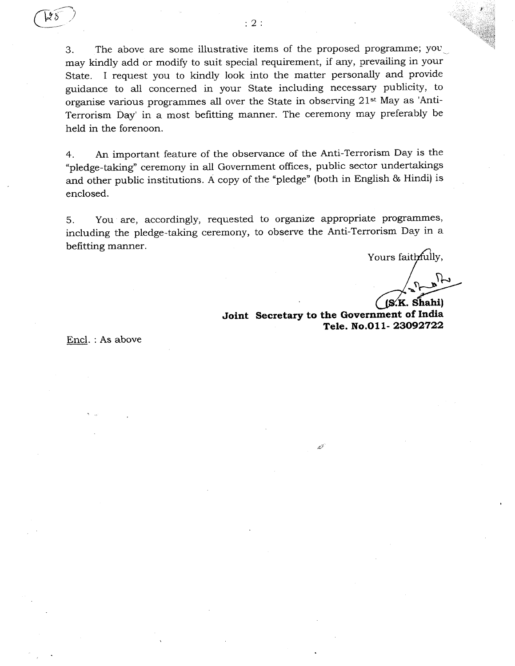4  $\overline{\phantom{0}}$ 

> 3. The above are some illustrative items of the proposed programme; you. may kindly add or modify to suit special requirement, if any, prevailing in your State. I request you to kindiy look into the matter personally and provide guidance to all concerned in your State including necessary publicity, to organise various programmes all over the State in observing 21st May as 'Anti-Terrorism Day' in a most befitting manner. The ceremony may preferably be held in the forenoon.

> 4. An important feature of the observance of the Anti-Terrorism Day is the "pledge-taking" ceremony in all Government offices, public sector undertakings and other public institutions. A copy of the "pledge" (both in English & Hindi) is enclosed.

> 5. You are, accordingly, requested to organize appropriate programmes, including the pledge-taking ceremony, to observe the Anti-Terrorism Day in a befitting manner.

ithfully,<br> $\sum_{n=1}^{\infty}$  $(S,K.$  Shahi)

Joint Secretary to the Government of India Tele. No.011-23092722

تتمنعه

Encl. : As above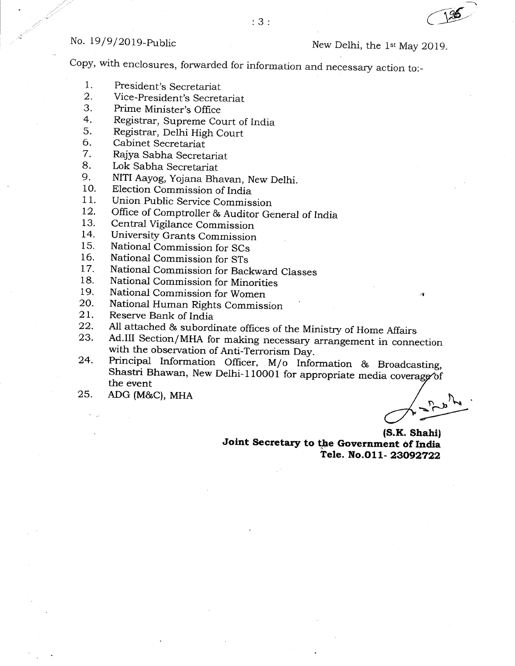Copy, with enclosures, forwarded for information and necessary action to:

- 1. President's Secretariat
- 2. Vice-President's Secretariat
- 3. Prime Minister's Office
- 4. Registrar, Supreme Court of India
- 5. Registrar, Delhi High Court
- 6. Cabinet Secretariat
- 7. Rajya Sabha Secretariat
- 8. Lok Sabha Secretariat
- 9. NITI Aayog, Yojana Bhavan, New Delhi.
- 10. Election Commission of India
- 11. Union Public Service Commission
- 12. Office of Comptroller & Auditor General of India
- 13. Central Vigilance Commission
- 14. University Grants Commission
- 15. National Commission for SCs
- 16. National Commission for STs
- 17. National Commission for Backward Classes
- 18. National Commission for Minorities
- 19. National Commission for Women
- 20. National Human Rights Commission
- 21.
- 22. Reserve Bank of India<br>All attached & subordinate offices of the Ministry of Home Affairs
- 23. Ad.III Section/MHA for making necessary arrangement in connection<br>with the observation of Anti-Terrorism Day.<br>Principal Information Officer, M/o Information & Broadcasting,
- 24. Shastri Bhawan, New Delhi-110001 for appropriate media coverage of the event
- 25. ADG (M&C), MHA

(S.K. Shahi) Joint Secretary to the Government of India Tele. No.011-23092722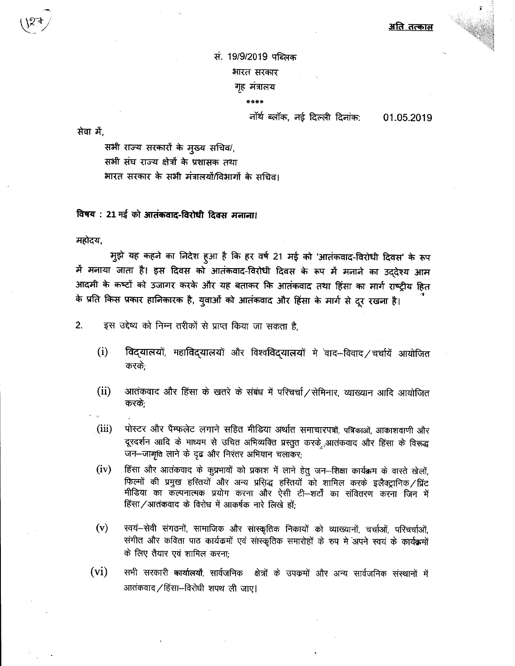अति तत्काल

सं. 19/9/2019 पब्लिक भारत सरकार गृह मंत्रालय

\*\*\*\*

#### नॉर्थ ब्लॉक, नई दिल्ली दिनांक:

01.05.2019

सेवा में.

सभी राज्य सरकारों के मुख्य सचिव/, सभी संघ राज्य क्षेत्रों के प्रशासक तथा भारत सरकार के सभी मंत्रालयों/विभागों के सचिव।

विषय: 21 मई को आतंकवाद-विरोधी दिवस मनाना।

महोदय,

मुझे यह कहने का निदेश हुआ है कि हर वर्ष 21 मई को 'आतंकवाद-विरोधी दिवस' के रूप में मनाया जाता है। इस दिवस को आतंकवाद-विरोधी दिवस के रूप में मनाने का उद्देश्य आम आदमी के कष्टों को उजागर करके और यह बताकर कि आतंकवाद तथा हिंसा का मार्ग राष्ट्रीय हित के प्रति किस प्रकार हानिकारक है, युवाओं को आतंकवाद और हिंसा के मार्ग से दूर रखना है।

 $2.$ इस उद्देष्य को निम्न तरीकों से प्राप्त किया जा सकता है.

- विद्यालयों, महाविद्यालयों और विश्वविद्यालयों मे वाद-विवाद/चर्चायें आयोजित  $(i)$ करके:
- $(ii)$ आतंकवाद और हिंसा के खतरे के संबंध में परिचर्चा / सेमिनार, व्याख्यान आदि आयोजित करके:
- पोस्टर और पैम्फलेट लगाने सहित मीडिया अर्थात समाचारपत्रों, पत्रिकाओं, आकाशवाणी और  $(iii)$ दूरदर्शन आदि के माध्यम से उचित अभिव्यक्ति प्रस्तुत करके आतंकवाद और हिंसा के विरूद्ध जन-जागृति लाने के दृढ़ और निरंतर अभियान चलाकर;
- हिंसा और आतंकवाद के कुप्रभावों को प्रकाश में लाने हेतु जन-शिक्षा कार्यक्रम के वास्ते खेलों,  $(iv)$ फिल्मों की प्रमुख हरितयों और अन्य प्रसिद्ध हरितयों को शामिल करके इलैक्ट्रानिक/प्रिंट मीडिया का कल्पनात्मक प्रयोग करना और ऐसी टी-शर्टों का संवितरण करना जिन में हिंसा/आतंकवाद के विरोध में आकर्षक नारे लिखे हों:
- $(v)$ स्वयं--सेवी संगठनों, सामाजिक और सांस्कृतिक निकायों को व्याख्यानों, चर्चाओं, परिचर्चाओं, संगीत और कविता पाठ कार्यक्रमों एवं सांस्कृतिक समारोहों के रुप में अपने स्वयं के कार्यक्रमों के लिए तैयार एवं शामिल करना:
- $(vi)$ सभी सरकारी कार्यालयों, सार्वजनिक क्षेत्रों के उपक्रमों और अन्य सार्वजनिक संस्थानों में आतंकवाद / हिंसा-विरोधी शपथ ली जाए।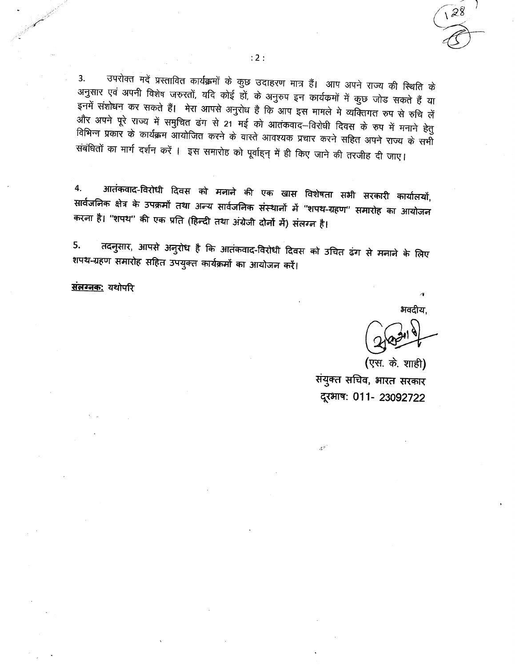उपरोक्त मदें प्रस्तावित कार्यक्रमों के कुछ उदाहरण मात्र हैं। आप अपने राज्य की स्थिति के 3. अनुसार एवं अपनी विशेष जरुरतों, यदि कोई हों, के अनुरुप इन कार्यक्रमों में कुछ जोड सकते हैं या इनमें संशोधन कर सकते हैं। मेरा आपसे अनुरोध है कि आप इस मामले मे व्यक्तिगत रुप से रुचि लें और अपने पूरे राज्य में समुचित ढंग से 21 मई को आतंकवाद–विरोधी दिवस के रुप में मनाने हेतु विभिन्न प्रकार के कार्यक्रम आयोजित करने के वास्ते आवश्यक प्रचार करने सहित अपने राज्य के सभी संबंधितों का मार्ग दर्शन करें । इस समारोह को पूर्वाहन् में ही किए जाने की तरजीह दी जाए।

आतंकवाद-विरोधी दिवस को मनाने की एक खास विशेषता सभी सरकारी कार्यालयों, 4. सार्वजनिक क्षेत्र के उपक्रमों तथा अन्य सार्वजनिक संस्थानों में ''शपथ-ग्रहण'' समारोह का आयोजन करना है। "शपथ" की एक प्रति (हिन्दी तथा अंग्रेजी दोनों में) संलग्न है।

तदनुसार, आपसे अनुरोध है कि आतंकवाद-विरोधी दिवस को उचित ढंग से मनाने के लिए 5. शपथ-ग्रहण समारोह सहित उपयुक्त कार्यक्रमों का आयोजन करें।

संलग्नक: यथोपरि

भवदीय,

(एस. के. शाही)

संयुक्त सचिव, भारत सरकार दूरभाष: 011- 23092722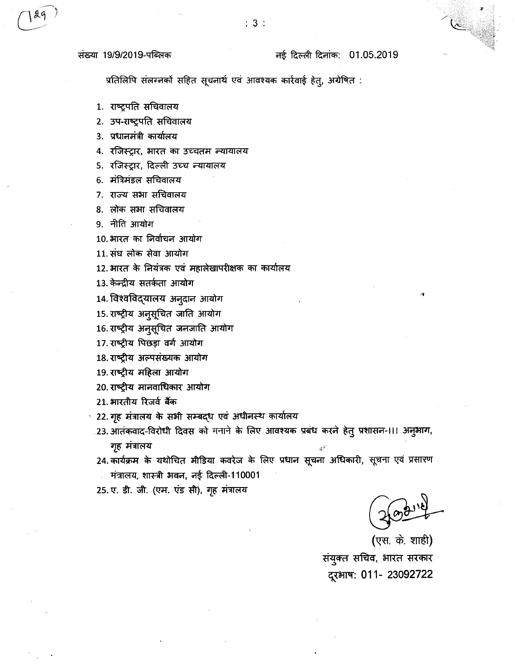प्रतिलिपि संलग्नकों सहित सूचनार्थ एवं आवश्यक कार्रवाई हेत्, अग्रेषित :

 $: 3:$ 

1. राष्ट्रपति सचिवालय

2. उप-राष्ट्रपति सचिवालय

- 3. प्रधानमंत्री कार्यालय
- 4. रजिस्ट्रार, भारत का उच्चतम न्यायालय

5. रजिस्ट्रार, दिल्ली उच्च न्यायालय

6. मंत्रिमंडल सचिवालय

- 7. राज्य सभा सचिवालय
- 8. लोक सभा सचिवालय

9. नीति आयोग

- 10. भारत का निर्वाचन आयोग
- 11. संघ लोक सेवा आयोग
- 12. भारत के नियंत्रक एवं महालेखापरीक्षक का कार्यालय
- 13. केन्द्रीय सतर्कता आयोग
- 14. विश्वविद्यालय अनूदान आयोग
- 15. राष्ट्रीय अनुसूचित जाति आयोग
- 16. राष्ट्रीय अनुसूचित जनजाति आयोग
- 17. राष्ट्रीय पिछड़ा वर्ग आयोग
- 18. राष्ट्रीय अल्पसंख्यक आयोग
- 19. राष्ट्रीय महिला आयोग
- 20. राष्ट्रीय मानवाधिकार आयोग
- 21. भारतीय रिजर्व बैंक
- 22. गृह संत्रालय के सभी सम्बद्ध एवं अधीनस्थ कार्यालय
	- .23. आतंकवाद-विरोधी दिवस को मनाने के लिए आवश्यक प्रबंध करने हेतु प्रशासन-।।। अनुभाग, गृह मंत्रालय
	- 24. कार्यक्रम के यथोचित मीडिया कवरेज के लिए प्रधान सूचना अधिकारी, सूचना एवं प्रसारण मंत्रालय, शास्त्री भवन, नई दिल्ली-110001
	- 25. ए. डी. जी. (एम. एंड सी), गृह मंत्रालय

(एस. के. शाही) संयुक्त सचिव, भारत सरकार दूरभाष: 011- 23092722